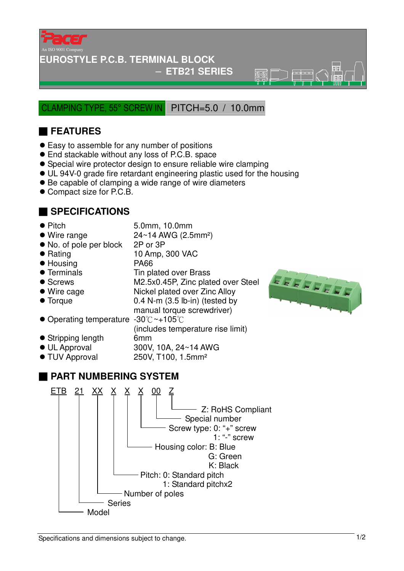

#### **EUROSTYLE P.C.B. TERMINAL BLOCK**

#### − **ETB21 SERIES**

 $\overline{\mathbb{R}}\overline{\mathbb{R}}$ 

CLAMPING TYPE, 55° SCREW IN PITCH=5.0 / 10.0mm

## ■ **FEATURES**

- Easy to assemble for any number of positions
- End stackable without any loss of P.C.B. space
- Special wire protector design to ensure reliable wire clamping
- UL 94V-0 grade fire retardant engineering plastic used for the housing
- Be capable of clamping a wide range of wire diameters
- Compact size for P.C.B.

### ■ **SPECIFICATIONS**

- 
- Pitch 5.0mm, 10.0mm
- $\bullet$  Wire range  $24 \sim 14$  AWG (2.5mm<sup>2</sup>)
- No. of pole per block 2P or 3P
- Rating 10 Amp, 300 VAC
- Housing PA66
- 
- 
- 
- 
- Terminals Tin plated over Brass
- Screws M2.5x0.45P, Zinc plated over Steel ● Wire cage Nickel plated over Zinc Alloy
- Torque 0.4 N-m (3.5 lb-in) (tested by
	- manual torque screwdriver)

(includes temperature rise limit)

- Operating temperature -30°C ~+105°C
- Stripping length 6mm
- UL Approval 300V, 10A, 24~14 AWG
- TUV Approval 250V, T100, 1.5mm<sup>2</sup>

## ■ **PART NUMBERING SYSTEM**